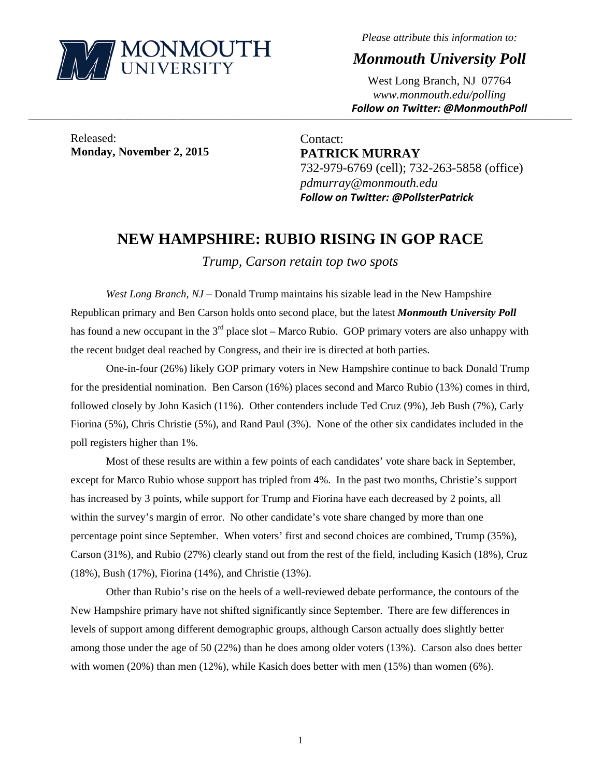

*Please attribute this information to:* 

*Monmouth University Poll* 

West Long Branch, NJ 07764 *www.monmouth.edu/polling Follow on Twitter: @MonmouthPoll*

Released: **Monday, November 2, 2015** 

Contact: **PATRICK MURRAY**  732-979-6769 (cell); 732-263-5858 (office) *pdmurray@monmouth.edu Follow on Twitter: @PollsterPatrick*

## **NEW HAMPSHIRE: RUBIO RISING IN GOP RACE**

,一个人的人都是不是,我们的人都是不是,我们的人都是不是,我们的人都是不是,我们的人都是不是,我们的人都是不是,我们的人都是不是,我们的人都是不是,我们的人都是不

*Trump, Carson retain top two spots* 

*West Long Branch, NJ* – Donald Trump maintains his sizable lead in the New Hampshire Republican primary and Ben Carson holds onto second place, but the latest *Monmouth University Poll* has found a new occupant in the  $3<sup>rd</sup>$  place slot – Marco Rubio. GOP primary voters are also unhappy with the recent budget deal reached by Congress, and their ire is directed at both parties.

One-in-four (26%) likely GOP primary voters in New Hampshire continue to back Donald Trump for the presidential nomination. Ben Carson (16%) places second and Marco Rubio (13%) comes in third, followed closely by John Kasich (11%). Other contenders include Ted Cruz (9%), Jeb Bush (7%), Carly Fiorina (5%), Chris Christie (5%), and Rand Paul (3%). None of the other six candidates included in the poll registers higher than 1%.

Most of these results are within a few points of each candidates' vote share back in September, except for Marco Rubio whose support has tripled from 4%. In the past two months, Christie's support has increased by 3 points, while support for Trump and Fiorina have each decreased by 2 points, all within the survey's margin of error. No other candidate's vote share changed by more than one percentage point since September. When voters' first and second choices are combined, Trump (35%), Carson (31%), and Rubio (27%) clearly stand out from the rest of the field, including Kasich (18%), Cruz (18%), Bush (17%), Fiorina (14%), and Christie (13%).

Other than Rubio's rise on the heels of a well-reviewed debate performance, the contours of the New Hampshire primary have not shifted significantly since September. There are few differences in levels of support among different demographic groups, although Carson actually does slightly better among those under the age of 50 (22%) than he does among older voters (13%). Carson also does better with women  $(20%)$  than men  $(12%)$ , while Kasich does better with men  $(15%)$  than women  $(6%)$ .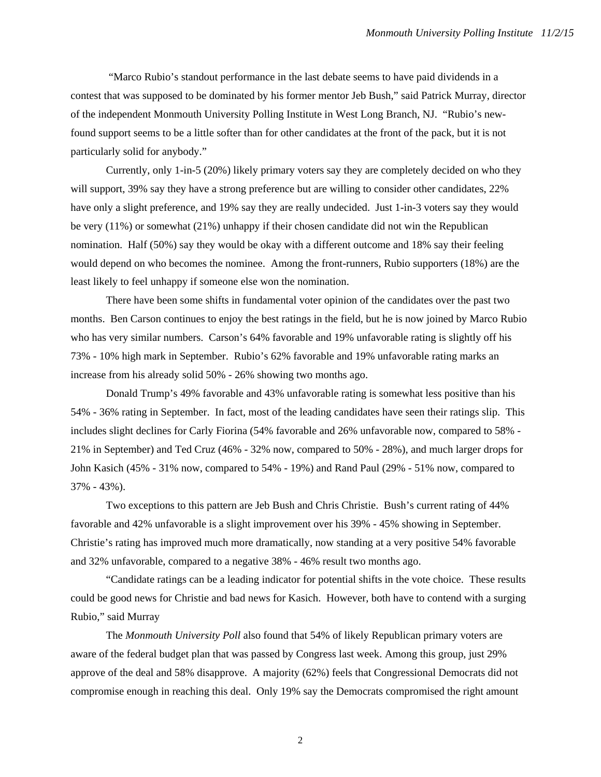"Marco Rubio's standout performance in the last debate seems to have paid dividends in a contest that was supposed to be dominated by his former mentor Jeb Bush," said Patrick Murray, director of the independent Monmouth University Polling Institute in West Long Branch, NJ. "Rubio's newfound support seems to be a little softer than for other candidates at the front of the pack, but it is not particularly solid for anybody."

Currently, only 1-in-5 (20%) likely primary voters say they are completely decided on who they will support, 39% say they have a strong preference but are willing to consider other candidates, 22% have only a slight preference, and 19% say they are really undecided. Just 1-in-3 voters say they would be very (11%) or somewhat (21%) unhappy if their chosen candidate did not win the Republican nomination. Half (50%) say they would be okay with a different outcome and 18% say their feeling would depend on who becomes the nominee. Among the front-runners, Rubio supporters (18%) are the least likely to feel unhappy if someone else won the nomination.

There have been some shifts in fundamental voter opinion of the candidates over the past two months. Ben Carson continues to enjoy the best ratings in the field, but he is now joined by Marco Rubio who has very similar numbers. Carson's 64% favorable and 19% unfavorable rating is slightly off his 73% - 10% high mark in September. Rubio's 62% favorable and 19% unfavorable rating marks an increase from his already solid 50% - 26% showing two months ago.

Donald Trump's 49% favorable and 43% unfavorable rating is somewhat less positive than his 54% - 36% rating in September. In fact, most of the leading candidates have seen their ratings slip. This includes slight declines for Carly Fiorina (54% favorable and 26% unfavorable now, compared to 58% - 21% in September) and Ted Cruz (46% - 32% now, compared to 50% - 28%), and much larger drops for John Kasich (45% - 31% now, compared to 54% - 19%) and Rand Paul (29% - 51% now, compared to 37% - 43%).

Two exceptions to this pattern are Jeb Bush and Chris Christie. Bush's current rating of 44% favorable and 42% unfavorable is a slight improvement over his 39% - 45% showing in September. Christie's rating has improved much more dramatically, now standing at a very positive 54% favorable and 32% unfavorable, compared to a negative 38% - 46% result two months ago.

"Candidate ratings can be a leading indicator for potential shifts in the vote choice. These results could be good news for Christie and bad news for Kasich. However, both have to contend with a surging Rubio," said Murray

The *Monmouth University Poll* also found that 54% of likely Republican primary voters are aware of the federal budget plan that was passed by Congress last week. Among this group, just 29% approve of the deal and 58% disapprove. A majority (62%) feels that Congressional Democrats did not compromise enough in reaching this deal. Only 19% say the Democrats compromised the right amount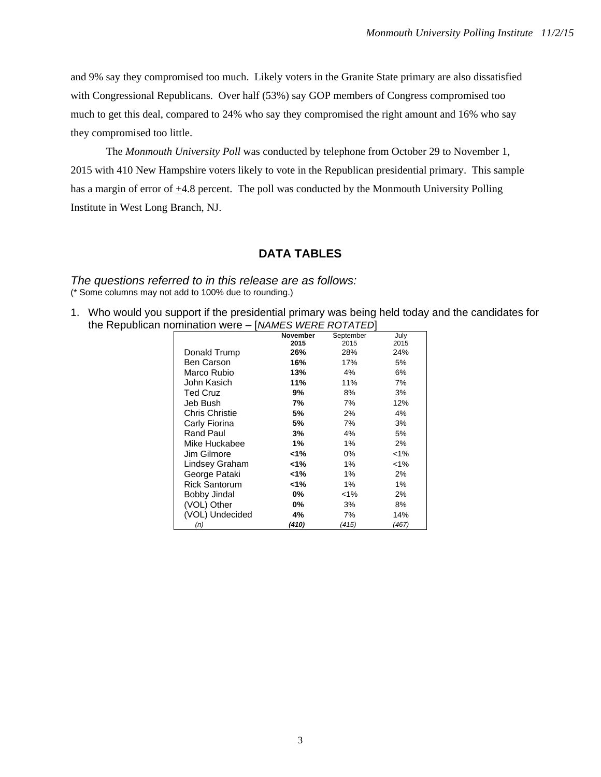and 9% say they compromised too much. Likely voters in the Granite State primary are also dissatisfied with Congressional Republicans. Over half (53%) say GOP members of Congress compromised too much to get this deal, compared to 24% who say they compromised the right amount and 16% who say they compromised too little.

The *Monmouth University Poll* was conducted by telephone from October 29 to November 1, 2015 with 410 New Hampshire voters likely to vote in the Republican presidential primary. This sample has a margin of error of  $\pm$ 4.8 percent. The poll was conducted by the Monmouth University Polling Institute in West Long Branch, NJ.

## **DATA TABLES**

*The questions referred to in this release are as follows:*  (\* Some columns may not add to 100% due to rounding.)

1. Who would you support if the presidential primary was being held today and the candidates for the Republican nomination were – [*NAMES WERE ROTATED*]

|                       | <b>November</b> | September | July    |
|-----------------------|-----------------|-----------|---------|
|                       | 2015            | 2015      | 2015    |
| Donald Trump          | 26%             | 28%       | 24%     |
| Ben Carson            | 16%             | 17%       | 5%      |
| Marco Rubio           | 13%             | 4%        | 6%      |
| John Kasich           | 11%             | 11%       | 7%      |
| <b>Ted Cruz</b>       | 9%              | 8%        | 3%      |
| Jeb Bush              | 7%              | 7%        | 12%     |
| <b>Chris Christie</b> | 5%              | 2%        | 4%      |
| Carly Fiorina         | 5%              | 7%        | 3%      |
| Rand Paul             | 3%              | 4%        | 5%      |
| Mike Huckabee         | 1%              | 1%        | 2%      |
| Jim Gilmore           | 1%              | 0%        | $< 1\%$ |
| Lindsey Graham        | 1%              | 1%        | $< 1\%$ |
| George Pataki         | 1%              | 1%        | 2%      |
| Rick Santorum         | 1%              | 1%        | 1%      |
| Bobby Jindal          | 0%              | $< 1\%$   | 2%      |
| (VOL) Other           | 0%              | 3%        | 8%      |
| (VOL) Undecided       | 4%              | 7%        | 14%     |
| (n)                   | (410)           | (415)     | (467)   |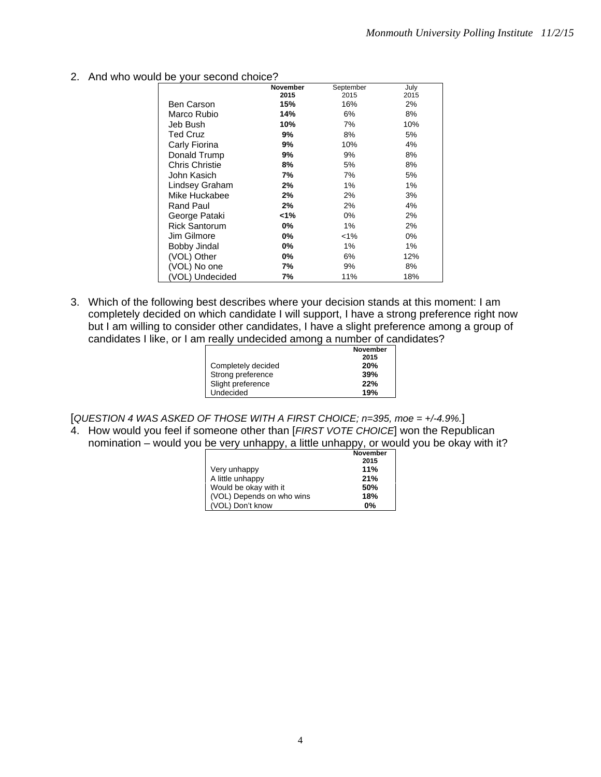2. And who would be your second choice?

|                       | <b>November</b> | September | July |
|-----------------------|-----------------|-----------|------|
|                       | 2015            | 2015      | 2015 |
| <b>Ben Carson</b>     | 15%             | 16%       | 2%   |
| Marco Rubio           | 14%             | 6%        | 8%   |
| Jeb Bush              | 10%             | 7%        | 10%  |
| Ted Cruz              | 9%              | 8%        | 5%   |
| Carly Fiorina         | 9%              | 10%       | 4%   |
| Donald Trump          | 9%              | 9%        | 8%   |
| <b>Chris Christie</b> | 8%              | 5%        | 8%   |
| John Kasich           | 7%              | 7%        | 5%   |
| Lindsey Graham        | 2%              | 1%        | 1%   |
| Mike Huckabee         | 2%              | 2%        | 3%   |
| <b>Rand Paul</b>      | 2%              | 2%        | 4%   |
| George Pataki         | 1%>             | 0%        | 2%   |
| <b>Rick Santorum</b>  | 0%              | 1%        | 2%   |
| Jim Gilmore           | 0%              | $< 1\%$   | 0%   |
| Bobby Jindal          | 0%              | 1%        | 1%   |
| (VOL) Other           | 0%              | 6%        | 12%  |
| (VOL) No one          | 7%              | 9%        | 8%   |
| (VOL) Undecided       | 7%              | 11%       | 18%  |

3. Which of the following best describes where your decision stands at this moment: I am completely decided on which candidate I will support, I have a strong preference right now but I am willing to consider other candidates, I have a slight preference among a group of candidates I like, or I am really undecided among a number of candidates?

|                    | <b>November</b> |
|--------------------|-----------------|
|                    | 2015            |
| Completely decided | 20%             |
| Strong preference  | 39%             |
| Slight preference  | 22%             |
| Undecided          | 19%             |
|                    |                 |

[*QUESTION 4 WAS ASKED OF THOSE WITH A FIRST CHOICE; n=395, moe = +/-4.9%.*]

4. How would you feel if someone other than [*FIRST VOTE CHOICE*] won the Republican nomination – would you be very unhappy, a little unhappy, or would you be okay with it?

|                           | November |
|---------------------------|----------|
|                           | 2015     |
| Very unhappy              | 11%      |
| A little unhappy          | 21%      |
| Would be okay with it     | 50%      |
| (VOL) Depends on who wins | 18%      |
| (VOL) Don't know          | 0%       |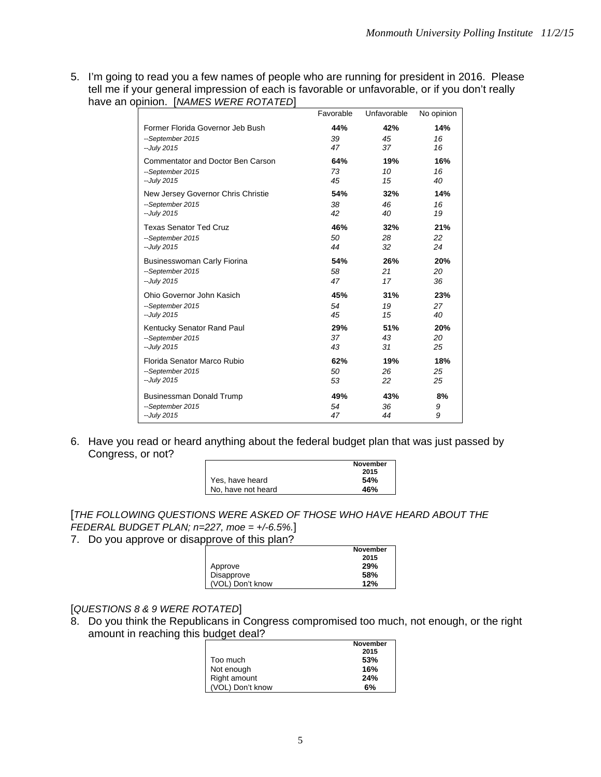5. I'm going to read you a few names of people who are running for president in 2016. Please tell me if your general impression of each is favorable or unfavorable, or if you don't really have an opinion. [*NAMES WERE ROTATED*]

|                                          | Favorable | Unfavorable | No opinion |
|------------------------------------------|-----------|-------------|------------|
| Former Florida Governor Jeb Bush         | 44%       | 42%         | 14%        |
| --September 2015                         | 39        | 45          | 16         |
| --July 2015                              | 47        | 37          | 16         |
| <b>Commentator and Doctor Ben Carson</b> | 64%       | 19%         | 16%        |
| --September 2015                         | 73        | 10          | 16         |
| --July 2015                              | 45        | 15          | 40         |
| New Jersey Governor Chris Christie       | 54%       | 32%         | 14%        |
| --September 2015                         | 38        | 46          | 16         |
| --July 2015                              | 42        | 40          | 19         |
| <b>Texas Senator Ted Cruz</b>            | 46%       | 32%         | 21%        |
| --September 2015                         | 50        | 28          | 22         |
| -- July 2015                             | 44        | 32          | 24         |
| <b>Businesswoman Carly Fiorina</b>       | 54%       | 26%         | 20%        |
| --September 2015                         | 58        | 21          | 20         |
| -- July 2015                             | 47        | 17          | 36         |
| Ohio Governor John Kasich                | 45%       | 31%         | 23%        |
| --September 2015                         | 54        | 19          | 27         |
| --July 2015                              | 45        | 15          | 40         |
| Kentucky Senator Rand Paul               | 29%       | 51%         | 20%        |
| --September 2015                         | 37        | 43          | 20         |
| --July 2015                              | 43        | 31          | 25         |
| Florida Senator Marco Rubio              | 62%       | 19%         | 18%        |
| --September 2015                         | 50        | 26          | 25         |
| --July 2015                              | 53        | 22          | 25         |
| <b>Businessman Donald Trump</b>          | 49%       | 43%         | 8%         |
| --September 2015                         | 54        | 36          | 9          |
| --July 2015                              | 47        | 44          | 9          |

6. Have you read or heard anything about the federal budget plan that was just passed by Congress, or not?

|                    | <b>November</b> |
|--------------------|-----------------|
|                    | 2015            |
| Yes, have heard    | 54%             |
| No, have not heard | 46%             |

[*THE FOLLOWING QUESTIONS WERE ASKED OF THOSE WHO HAVE HEARD ABOUT THE FEDERAL BUDGET PLAN; n=227, moe = +/-6.5%.*]

7. Do you approve or disapprove of this plan?

|                  | <b>November</b> |
|------------------|-----------------|
|                  | 2015            |
| Approve          | 29%             |
| Disapprove       | 58%             |
| (VOL) Don't know | 12%             |

## [*QUESTIONS 8 & 9 WERE ROTATED*]

8. Do you think the Republicans in Congress compromised too much, not enough, or the right amount in reaching this budget deal?

|                  | <b>November</b> |
|------------------|-----------------|
|                  | 2015            |
| Too much         | 53%             |
| Not enough       | 16%             |
| Right amount     | 24%             |
| (VOL) Don't know | 6%              |